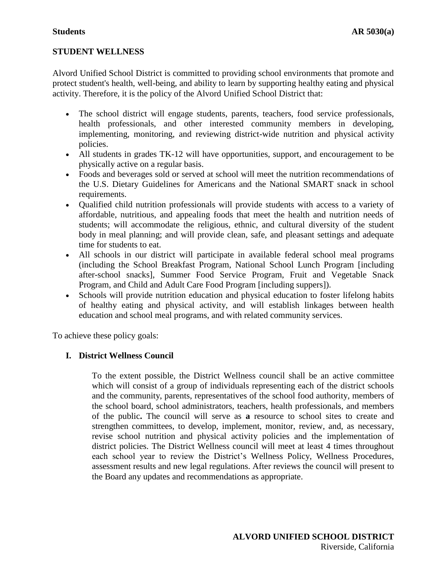## **STUDENT WELLNESS**

Alvord Unified School District is committed to providing school environments that promote and protect student's health, well-being, and ability to learn by supporting healthy eating and physical activity. Therefore, it is the policy of the Alvord Unified School District that:

- The school district will engage students, parents, teachers, food service professionals, health professionals, and other interested community members in developing, implementing, monitoring, and reviewing district-wide nutrition and physical activity policies.
- All students in grades TK-12 will have opportunities, support, and encouragement to be physically active on a regular basis.
- Foods and beverages sold or served at school will meet the nutrition recommendations of the U.S. Dietary Guidelines for Americans and the National SMART snack in school requirements.
- Qualified child nutrition professionals will provide students with access to a variety of affordable, nutritious, and appealing foods that meet the health and nutrition needs of students; will accommodate the religious, ethnic, and cultural diversity of the student body in meal planning; and will provide clean, safe, and pleasant settings and adequate time for students to eat.
- All schools in our district will participate in available federal school meal programs (including the School Breakfast Program, National School Lunch Program [including after-school snacks], Summer Food Service Program, Fruit and Vegetable Snack Program, and Child and Adult Care Food Program [including suppers]).
- Schools will provide nutrition education and physical education to foster lifelong habits of healthy eating and physical activity, and will establish linkages between health education and school meal programs, and with related community services.

To achieve these policy goals:

# **I. District Wellness Council**

To the extent possible, the District Wellness council shall be an active committee which will consist of a group of individuals representing each of the district schools and the community, parents, representatives of the school food authority, members of the school board, school administrators, teachers, health professionals, and members of the public**.** The council will serve as **a** resource to school sites to create and strengthen committees, to develop, implement, monitor, review, and, as necessary, revise school nutrition and physical activity policies and the implementation of district policies. The District Wellness council will meet at least 4 times throughout each school year to review the District's Wellness Policy, Wellness Procedures, assessment results and new legal regulations. After reviews the council will present to the Board any updates and recommendations as appropriate.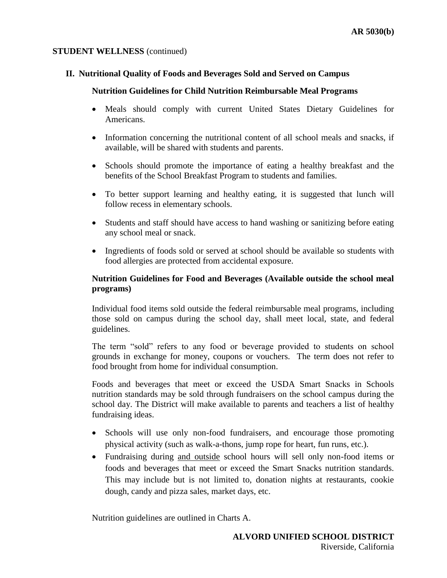## **II. Nutritional Quality of Foods and Beverages Sold and Served on Campus**

## **Nutrition Guidelines for Child Nutrition Reimbursable Meal Programs**

- Meals should comply with current United States Dietary Guidelines for Americans.
- Information concerning the nutritional content of all school meals and snacks, if available, will be shared with students and parents.
- Schools should promote the importance of eating a healthy breakfast and the benefits of the School Breakfast Program to students and families.
- To better support learning and healthy eating, it is suggested that lunch will follow recess in elementary schools.
- Students and staff should have access to hand washing or sanitizing before eating any school meal or snack.
- Ingredients of foods sold or served at school should be available so students with food allergies are protected from accidental exposure.

# **Nutrition Guidelines for Food and Beverages (Available outside the school meal programs)**

Individual food items sold outside the federal reimbursable meal programs, including those sold on campus during the school day, shall meet local, state, and federal guidelines.

The term "sold" refers to any food or beverage provided to students on school grounds in exchange for money, coupons or vouchers. The term does not refer to food brought from home for individual consumption.

Foods and beverages that meet or exceed the USDA Smart Snacks in Schools nutrition standards may be sold through fundraisers on the school campus during the school day. The District will make available to parents and teachers a list of healthy fundraising ideas.

- Schools will use only non-food fundraisers, and encourage those promoting physical activity (such as walk-a-thons, jump rope for heart, fun runs, etc.).
- Fundraising during and outside school hours will sell only non-food items or foods and beverages that meet or exceed the Smart Snacks nutrition standards. This may include but is not limited to, donation nights at restaurants, cookie dough, candy and pizza sales, market days, etc.

Nutrition guidelines are outlined in Charts A.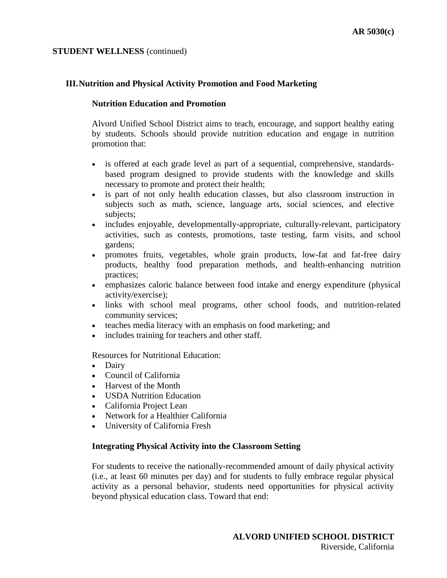## **III.Nutrition and Physical Activity Promotion and Food Marketing**

### **Nutrition Education and Promotion**

Alvord Unified School District aims to teach, encourage, and support healthy eating by students. Schools should provide nutrition education and engage in nutrition promotion that:

- is offered at each grade level as part of a sequential, comprehensive, standardsbased program designed to provide students with the knowledge and skills necessary to promote and protect their health;
- is part of not only health education classes, but also classroom instruction in subjects such as math, science, language arts, social sciences, and elective subjects;
- includes enjoyable, developmentally-appropriate, culturally-relevant, participatory activities, such as contests, promotions, taste testing, farm visits, and school gardens;
- promotes fruits, vegetables, whole grain products, low-fat and fat-free dairy products, healthy food preparation methods, and health-enhancing nutrition practices;
- emphasizes caloric balance between food intake and energy expenditure (physical activity/exercise);
- links with school meal programs, other school foods, and nutrition-related community services;
- teaches media literacy with an emphasis on food marketing; and
- includes training for teachers and other staff.

Resources for Nutritional Education:

- Dairy
- Council of California
- Harvest of the Month
- USDA Nutrition Education
- California Project Lean
- Network for a Healthier California
- University of California Fresh

## **Integrating Physical Activity into the Classroom Setting**

For students to receive the nationally-recommended amount of daily physical activity (i.e., at least 60 minutes per day) and for students to fully embrace regular physical activity as a personal behavior, students need opportunities for physical activity beyond physical education class. Toward that end: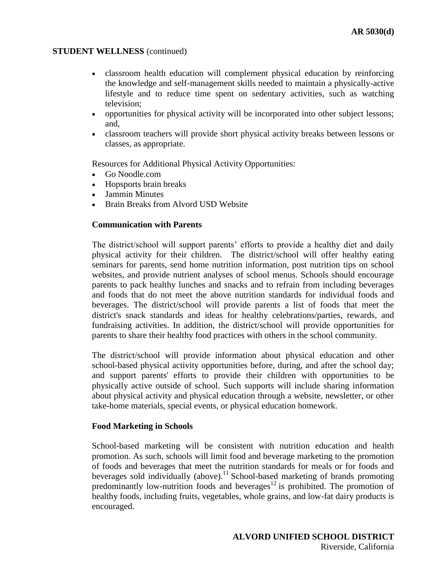- classroom health education will complement physical education by reinforcing the knowledge and self-management skills needed to maintain a physically-active lifestyle and to reduce time spent on sedentary activities, such as watching television;
- opportunities for physical activity will be incorporated into other subject lessons; and,
- classroom teachers will provide short physical activity breaks between lessons or classes, as appropriate.

Resources for Additional Physical Activity Opportunities:

- Go Noodle.com
- Hopsports brain breaks
- Jammin Minutes
- Brain Breaks from Alvord USD Website

## **Communication with Parents**

The district/school will support parents' efforts to provide a healthy diet and daily physical activity for their children. The district/school will offer healthy eating seminars for parents, send home nutrition information, post nutrition tips on school websites, and provide nutrient analyses of school menus. Schools should encourage parents to pack healthy lunches and snacks and to refrain from including beverages and foods that do not meet the above nutrition standards for individual foods and beverages. The district/school will provide parents a list of foods that meet the district's snack standards and ideas for healthy celebrations/parties, rewards, and fundraising activities. In addition, the district/school will provide opportunities for parents to share their healthy food practices with others in the school community.

The district/school will provide information about physical education and other school-based physical activity opportunities before, during, and after the school day; and support parents' efforts to provide their children with opportunities to be physically active outside of school. Such supports will include sharing information about physical activity and physical education through a website, newsletter, or other take-home materials, special events, or physical education homework.

#### **Food Marketing in Schools**

School-based marketing will be consistent with nutrition education and health promotion. As such, schools will limit food and beverage marketing to the promotion of foods and beverages that meet the nutrition standards for meals or for foods and beverages sold individually (above).<sup>11</sup> School-based marketing of brands promoting predominantly low-nutrition foods and beverages<sup>12</sup> is prohibited. The promotion of healthy foods, including fruits, vegetables, whole grains, and low-fat dairy products is encouraged.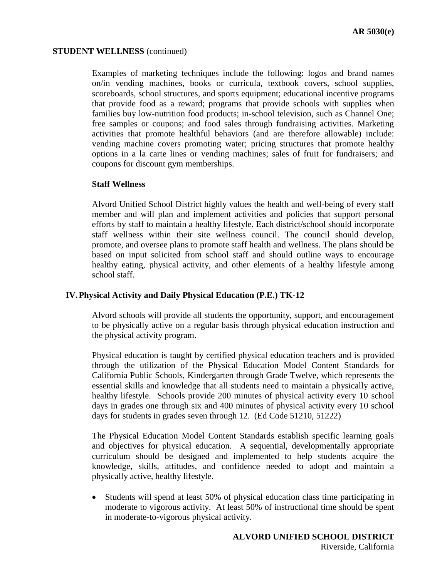Examples of marketing techniques include the following: logos and brand names on/in vending machines, books or curricula, textbook covers, school supplies, scoreboards, school structures, and sports equipment; educational incentive programs that provide food as a reward; programs that provide schools with supplies when families buy low-nutrition food products; in-school television, such as Channel One; free samples or coupons; and food sales through fundraising activities. Marketing activities that promote healthful behaviors (and are therefore allowable) include: vending machine covers promoting water; pricing structures that promote healthy options in a la carte lines or vending machines; sales of fruit for fundraisers; and coupons for discount gym memberships.

### **Staff Wellness**

Alvord Unified School District highly values the health and well-being of every staff member and will plan and implement activities and policies that support personal efforts by staff to maintain a healthy lifestyle. Each district/school should incorporate staff wellness within their site wellness council. The council should develop, promote, and oversee plans to promote staff health and wellness. The plans should be based on input solicited from school staff and should outline ways to encourage healthy eating, physical activity, and other elements of a healthy lifestyle among school staff.

## **IV.Physical Activity and Daily Physical Education (P.E.) TK-12**

Alvord schools will provide all students the opportunity, support, and encouragement to be physically active on a regular basis through physical education instruction and the physical activity program.

Physical education is taught by certified physical education teachers and is provided through the utilization of the Physical Education Model Content Standards for California Public Schools, Kindergarten through Grade Twelve, which represents the essential skills and knowledge that all students need to maintain a physically active, healthy lifestyle. Schools provide 200 minutes of physical activity every 10 school days in grades one through six and 400 minutes of physical activity every 10 school days for students in grades seven through 12. (Ed Code 51210, 51222)

The Physical Education Model Content Standards establish specific learning goals and objectives for physical education. A sequential, developmentally appropriate curriculum should be designed and implemented to help students acquire the knowledge, skills, attitudes, and confidence needed to adopt and maintain a physically active, healthy lifestyle.

 Students will spend at least 50% of physical education class time participating in moderate to vigorous activity. At least 50% of instructional time should be spent in moderate-to-vigorous physical activity.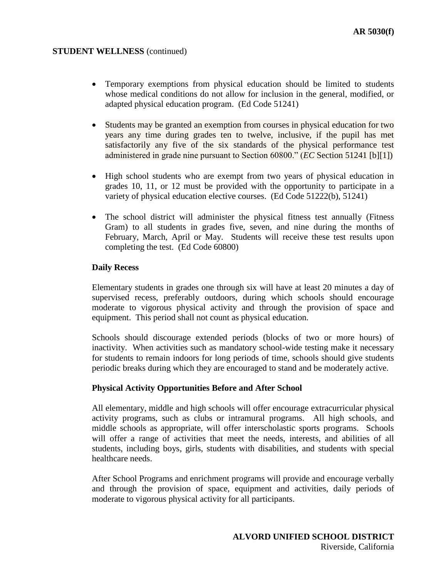- Temporary exemptions from physical education should be limited to students whose medical conditions do not allow for inclusion in the general, modified, or adapted physical education program. (Ed Code 51241)
- Students may be granted an exemption from courses in physical education for two years any time during grades ten to twelve, inclusive, if the pupil has met satisfactorily any five of the six standards of the physical performance test administered in grade nine pursuant to Section 60800." (*EC* Section 51241 [b][1])
- High school students who are exempt from two years of physical education in grades 10, 11, or 12 must be provided with the opportunity to participate in a variety of physical education elective courses. (Ed Code 51222(b), 51241)
- The school district will administer the physical fitness test annually (Fitness Gram) to all students in grades five, seven, and nine during the months of February, March, April or May. Students will receive these test results upon completing the test. (Ed Code 60800)

## **Daily Recess**

Elementary students in grades one through six will have at least 20 minutes a day of supervised recess, preferably outdoors, during which schools should encourage moderate to vigorous physical activity and through the provision of space and equipment. This period shall not count as physical education.

Schools should discourage extended periods (blocks of two or more hours) of inactivity. When activities such as mandatory school-wide testing make it necessary for students to remain indoors for long periods of time, schools should give students periodic breaks during which they are encouraged to stand and be moderately active.

## **Physical Activity Opportunities Before and After School**

All elementary, middle and high schools will offer encourage extracurricular physical activity programs, such as clubs or intramural programs. All high schools, and middle schools as appropriate, will offer interscholastic sports programs. Schools will offer a range of activities that meet the needs, interests, and abilities of all students, including boys, girls, students with disabilities, and students with special healthcare needs.

After School Programs and enrichment programs will provide and encourage verbally and through the provision of space, equipment and activities, daily periods of moderate to vigorous physical activity for all participants.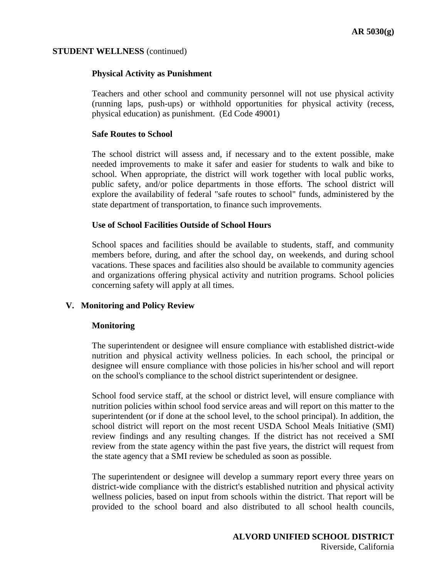## **Physical Activity as Punishment**

Teachers and other school and community personnel will not use physical activity (running laps, push-ups) or withhold opportunities for physical activity (recess, physical education) as punishment. (Ed Code 49001)

### **Safe Routes to School**

The school district will assess and, if necessary and to the extent possible, make needed improvements to make it safer and easier for students to walk and bike to school. When appropriate, the district will work together with local public works, public safety, and/or police departments in those efforts. The school district will explore the availability of federal "safe routes to school" funds, administered by the state department of transportation, to finance such improvements.

### **Use of School Facilities Outside of School Hours**

School spaces and facilities should be available to students, staff, and community members before, during, and after the school day, on weekends, and during school vacations. These spaces and facilities also should be available to community agencies and organizations offering physical activity and nutrition programs. School policies concerning safety will apply at all times.

## **V. Monitoring and Policy Review**

## **Monitoring**

The superintendent or designee will ensure compliance with established district-wide nutrition and physical activity wellness policies. In each school, the principal or designee will ensure compliance with those policies in his/her school and will report on the school's compliance to the school district superintendent or designee.

School food service staff, at the school or district level, will ensure compliance with nutrition policies within school food service areas and will report on this matter to the superintendent (or if done at the school level, to the school principal). In addition, the school district will report on the most recent USDA School Meals Initiative (SMI) review findings and any resulting changes. If the district has not received a SMI review from the state agency within the past five years, the district will request from the state agency that a SMI review be scheduled as soon as possible.

The superintendent or designee will develop a summary report every three years on district-wide compliance with the district's established nutrition and physical activity wellness policies, based on input from schools within the district. That report will be provided to the school board and also distributed to all school health councils,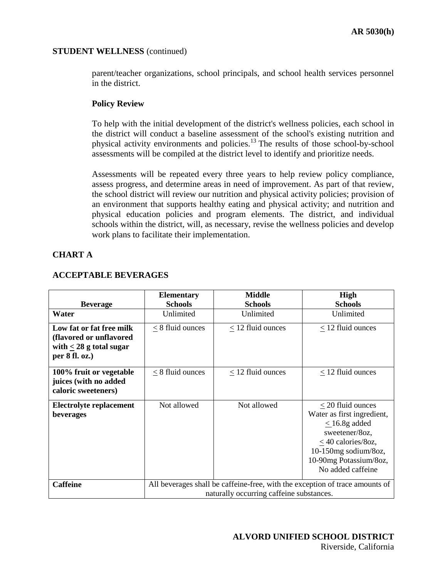parent/teacher organizations, school principals, and school health services personnel in the district.

## **Policy Review**

To help with the initial development of the district's wellness policies, each school in the district will conduct a baseline assessment of the school's existing nutrition and physical activity environments and policies.<sup>13</sup> The results of those school-by-school assessments will be compiled at the district level to identify and prioritize needs.

Assessments will be repeated every three years to help review policy compliance, assess progress, and determine areas in need of improvement. As part of that review, the school district will review our nutrition and physical activity policies; provision of an environment that supports healthy eating and physical activity; and nutrition and physical education policies and program elements. The district, and individual schools within the district, will, as necessary, revise the wellness policies and develop work plans to facilitate their implementation.

## **CHART A**

|                                                                                                         | <b>Elementary</b>                                                                                                        | <b>Middle</b>       | High                                                                                                                                                                                           |
|---------------------------------------------------------------------------------------------------------|--------------------------------------------------------------------------------------------------------------------------|---------------------|------------------------------------------------------------------------------------------------------------------------------------------------------------------------------------------------|
| <b>Beverage</b>                                                                                         | <b>Schools</b>                                                                                                           | <b>Schools</b>      | <b>Schools</b>                                                                                                                                                                                 |
| Water                                                                                                   | Unlimited                                                                                                                | Unlimited           | Unlimited                                                                                                                                                                                      |
| Low fat or fat free milk<br>(flavored or unflavored<br>with $\leq 28$ g total sugar<br>per $8$ fl. oz.) | $< 8$ fluid ounces                                                                                                       | $<$ 12 fluid ounces | $<$ 12 fluid ounces                                                                                                                                                                            |
| 100% fruit or vegetable<br>juices (with no added<br>caloric sweeteners)                                 | $<$ 8 fluid ounces                                                                                                       | $<$ 12 fluid ounces | $<$ 12 fluid ounces                                                                                                                                                                            |
| <b>Electrolyte replacement</b><br>beverages                                                             | Not allowed                                                                                                              | Not allowed         | $\leq$ 20 fluid ounces<br>Water as first ingredient,<br>$\leq$ 16.8g added<br>sweetener/8oz,<br>$\leq$ 40 calories/80z,<br>10-150mg sodium/8oz,<br>10-90mg Potassium/8oz,<br>No added caffeine |
| <b>Caffeine</b>                                                                                         | All beverages shall be caffeine-free, with the exception of trace amounts of<br>naturally occurring caffeine substances. |                     |                                                                                                                                                                                                |

## **ACCEPTABLE BEVERAGES**